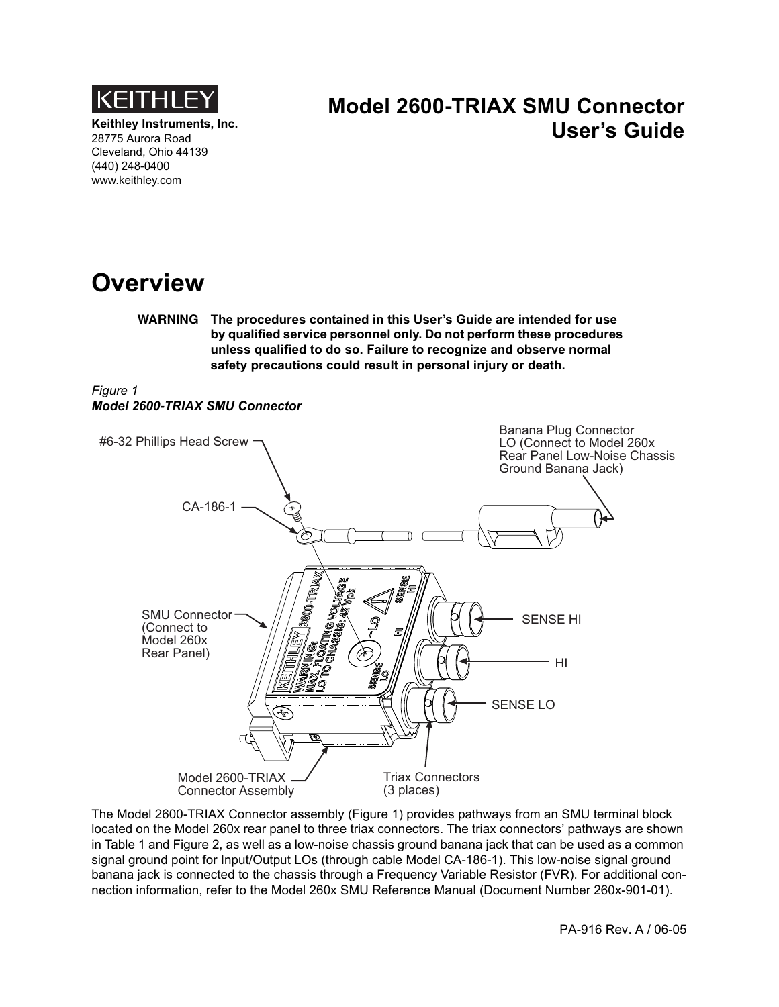

**Keithley Instruments, Inc.** 28775 Aurora Road Cleveland, Ohio 44139 (440) 248-0400 www.keithley.com

## **Model 2600-TRIAX SMU Connector User's Guide**

## **Overview**

**WARNING The procedures contained in this User's Guide are intended for use by qualified service personnel only. Do not perform these procedures unless qualified to do so. Failure to recognize and observe normal safety precautions could result in personal injury or death.**

#### <span id="page-0-0"></span>*Figure 1 Model 2600-TRIAX SMU Connector*



The Model 2600-TRIAX Connector assembly ([Figure 1\)](#page-0-0) provides pathways from an SMU terminal block located on the Model 260x rear panel to three triax connectors. The triax connectors' pathways are shown in [Table 1](#page-1-1) and [Figure 2](#page-1-0), as well as a low-noise chassis ground banana jack that can be used as a common signal ground point for Input/Output LOs (through cable Model CA-186-1). This low-noise signal ground banana jack is connected to the chassis through a Frequency Variable Resistor (FVR). For additional connection information, refer to the Model 260x SMU Reference Manual (Document Number 260x-901-01).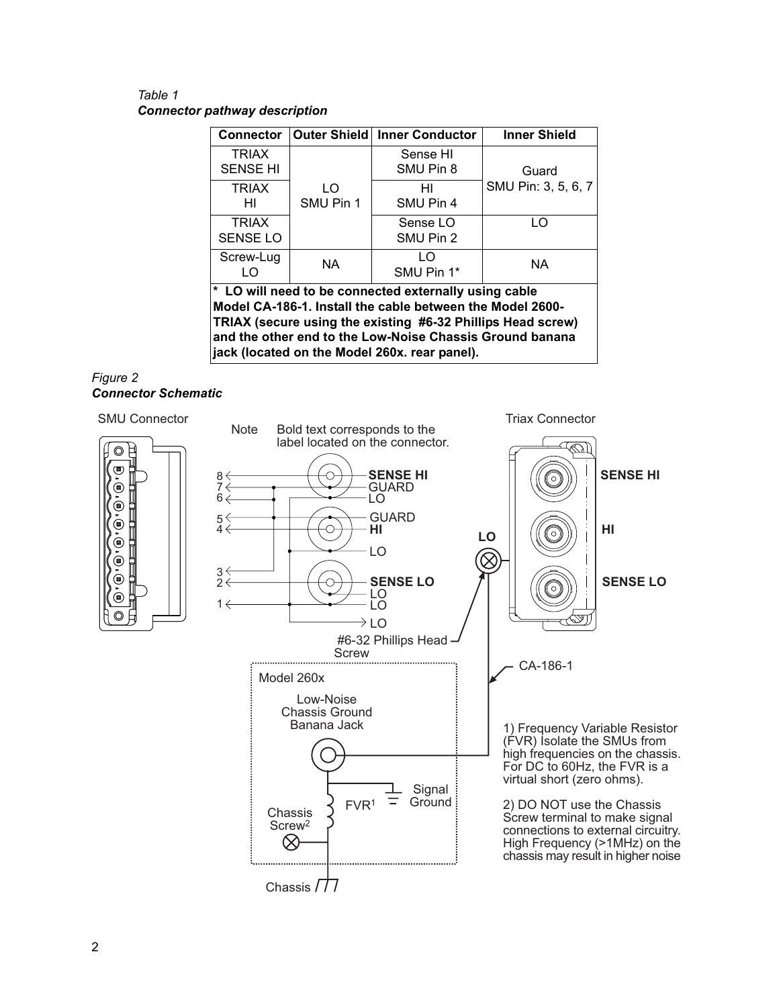<span id="page-1-1"></span>Table 1 **Connector pathway description** 

| <b>Connector</b>                                                                                                   |                  | Outer Shield   Inner Conductor | <b>Inner Shield</b> |
|--------------------------------------------------------------------------------------------------------------------|------------------|--------------------------------|---------------------|
| <b>TRIAX</b><br><b>SENSE HI</b>                                                                                    |                  | Sense HI<br>SMU Pin 8          | Guard               |
| <b>TRIAX</b><br>HI                                                                                                 | LO.<br>SMU Pin 1 | HI<br>SMU Pin 4                | SMU Pin: 3, 5, 6, 7 |
| <b>TRIAX</b><br><b>SENSE LO</b>                                                                                    |                  | Sense LO<br>SMU Pin 2          | LO                  |
| Screw-Lug<br>I O                                                                                                   | <b>NA</b>        | LO<br>SMU Pin 1*               | <b>NA</b>           |
| * LO will need to be connected externally using cable<br>Model CA-186-1. Install the cable between the Model 2600- |                  |                                |                     |

TRIAX (secure using the existing #6-32 Phillips Head screw) and the other end to the Low-Noise Chassis Ground banana jack (located on the Model 260x. rear panel).

#### <span id="page-1-0"></span>Figure 2 **Connector Schematic**

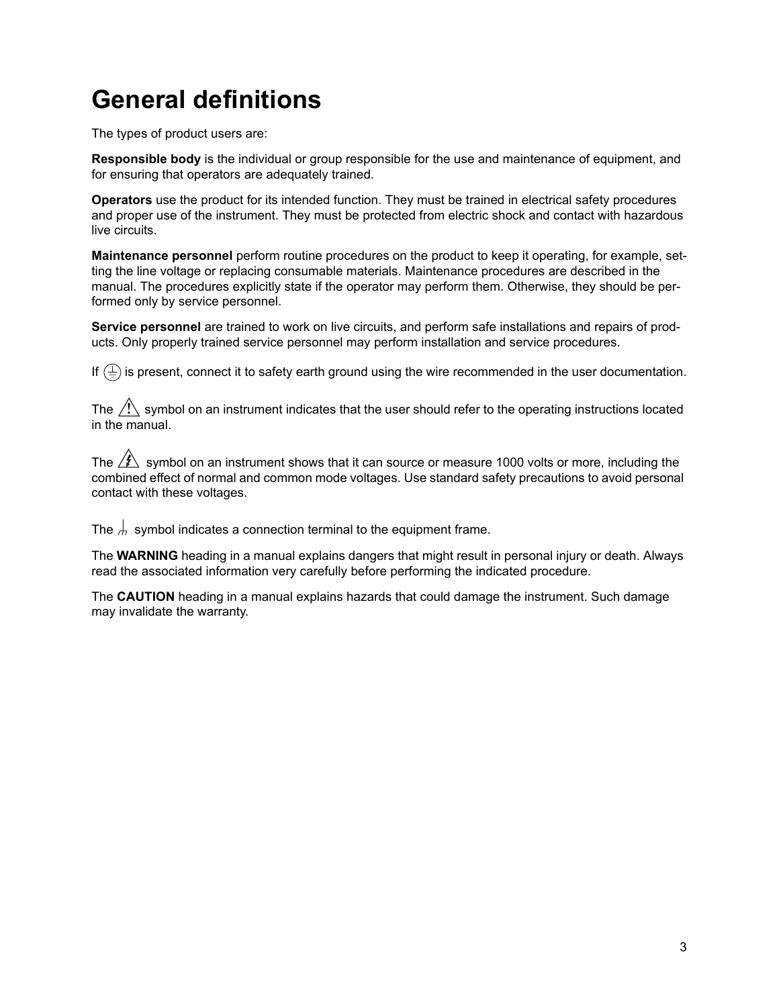# **General definitions**

The types of product users are:

**Responsible body** is the individual or group responsible for the use and maintenance of equipment, and for ensuring that operators are adequately trained.

**Operators** use the product for its intended function. They must be trained in electrical safety procedures and proper use of the instrument. They must be protected from electric shock and contact with hazardous live circuits.

**Maintenance personnel** perform routine procedures on the product to keep it operating, for example, setting the line voltage or replacing consumable materials. Maintenance procedures are described in the manual. The procedures explicitly state if the operator may perform them. Otherwise, they should be performed only by service personnel.

**Service personnel** are trained to work on live circuits, and perform safe installations and repairs of products. Only properly trained service personnel may perform installation and service procedures.

If  $(\frac{1}{2})$  is present, connect it to safety earth ground using the wire recommended in the user documentation.

The  $\sqrt{!}$  symbol on an instrument indicates that the user should refer to the operating instructions located in the manual.

The  $\sqrt{\hat{K}}$  symbol on an instrument shows that it can source or measure 1000 volts or more, including the combined effect of normal and common mode voltages. Use standard safety precautions to avoid personal contact with these voltages.

The  $\frac{1}{10}$  symbol indicates a connection terminal to the equipment frame.

The **WARNING** heading in a manual explains dangers that might result in personal injury or death. Always read the associated information very carefully before performing the indicated procedure.

The **CAUTION** heading in a manual explains hazards that could damage the instrument. Such damage may invalidate the warranty.